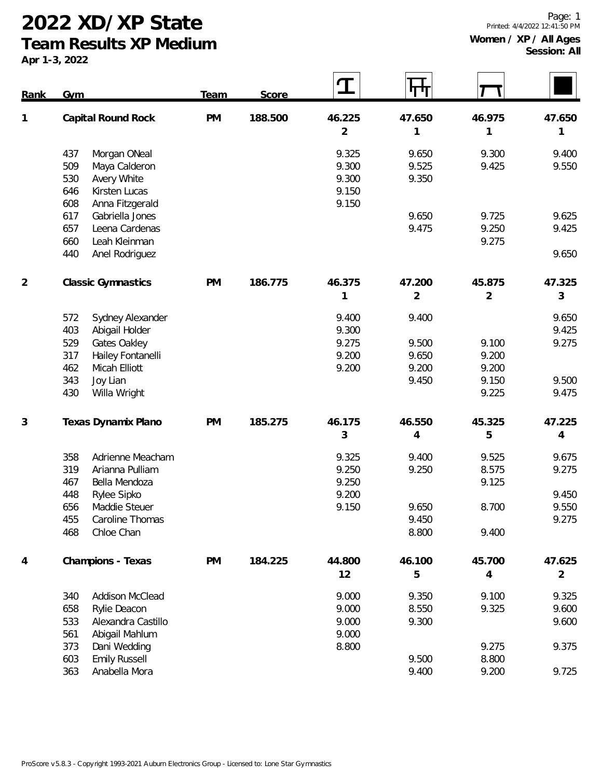**Team Results XP Medium**

| Rank           | Gym                           | Team      | Score   |                | ┞┯┿┸   |        |                |
|----------------|-------------------------------|-----------|---------|----------------|--------|--------|----------------|
| 1              | Capital Round Rock            | <b>PM</b> | 188.500 | 46.225         | 47.650 | 46.975 | 47.650         |
|                |                               |           |         | $\overline{2}$ | 1      | 1      | 1              |
|                | 437<br>Morgan ONeal           |           |         | 9.325          | 9.650  | 9.300  | 9.400          |
|                | 509<br>Maya Calderon          |           |         | 9.300          | 9.525  | 9.425  | 9.550          |
|                | 530<br>Avery White            |           |         | 9.300          | 9.350  |        |                |
|                | 646<br>Kirsten Lucas          |           |         | 9.150          |        |        |                |
|                | 608<br>Anna Fitzgerald        |           |         | 9.150          |        |        |                |
|                | 617<br>Gabriella Jones        |           |         |                | 9.650  | 9.725  | 9.625          |
|                | 657<br>Leena Cardenas         |           |         |                | 9.475  | 9.250  | 9.425          |
|                | 660<br>Leah Kleinman          |           |         |                |        | 9.275  |                |
|                | 440<br>Anel Rodriguez         |           |         |                |        |        | 9.650          |
| $\overline{2}$ | <b>Classic Gymnastics</b>     | <b>PM</b> | 186.775 | 46.375         | 47.200 | 45.875 | 47.325         |
|                |                               |           |         | 1              | 2      | 2      | 3              |
|                | 572<br>Sydney Alexander       |           |         | 9.400          | 9.400  |        | 9.650          |
|                | 403<br>Abigail Holder         |           |         | 9.300          |        |        | 9.425          |
|                | 529<br>Gates Oakley           |           |         | 9.275          | 9.500  | 9.100  | 9.275          |
|                | 317<br>Hailey Fontanelli      |           |         | 9.200          | 9.650  | 9.200  |                |
|                | 462<br>Micah Elliott          |           |         | 9.200          | 9.200  | 9.200  |                |
|                | 343<br>Joy Lian               |           |         |                | 9.450  | 9.150  | 9.500          |
|                | 430<br>Willa Wright           |           |         |                |        | 9.225  | 9.475          |
| 3              | Texas Dynamix Plano           | <b>PM</b> | 185.275 | 46.175         | 46.550 | 45.325 | 47.225         |
|                |                               |           |         | 3              | 4      | 5      | 4              |
|                | 358<br>Adrienne Meacham       |           |         | 9.325          | 9.400  | 9.525  | 9.675          |
|                | 319<br>Arianna Pulliam        |           |         | 9.250          | 9.250  | 8.575  | 9.275          |
|                | 467<br>Bella Mendoza          |           |         | 9.250          |        | 9.125  |                |
|                | Rylee Sipko<br>448            |           |         | 9.200          |        |        | 9.450          |
|                | 656<br>Maddie Steuer          |           |         | 9.150          | 9.650  | 8.700  | 9.550          |
|                | Caroline Thomas<br>455        |           |         |                | 9.450  |        | 9.275          |
|                | 468<br>Chloe Chan             |           |         |                | 8.800  | 9.400  |                |
| 4              | Champions - Texas             | PM        | 184.225 | 44.800         | 46.100 | 45.700 | 47.625         |
|                |                               |           |         | 12             | 5      | 4      | $\overline{2}$ |
|                | <b>Addison McClead</b><br>340 |           |         | 9.000          | 9.350  | 9.100  | 9.325          |
|                | Rylie Deacon<br>658           |           |         | 9.000          | 8.550  | 9.325  | 9.600          |
|                | 533<br>Alexandra Castillo     |           |         | 9.000          | 9.300  |        | 9.600          |
|                | 561<br>Abigail Mahlum         |           |         | 9.000          |        |        |                |
|                | 373<br>Dani Wedding           |           |         | 8.800          |        | 9.275  | 9.375          |
|                | <b>Emily Russell</b><br>603   |           |         |                | 9.500  | 8.800  |                |
|                | 363<br>Anabella Mora          |           |         |                | 9.400  | 9.200  | 9.725          |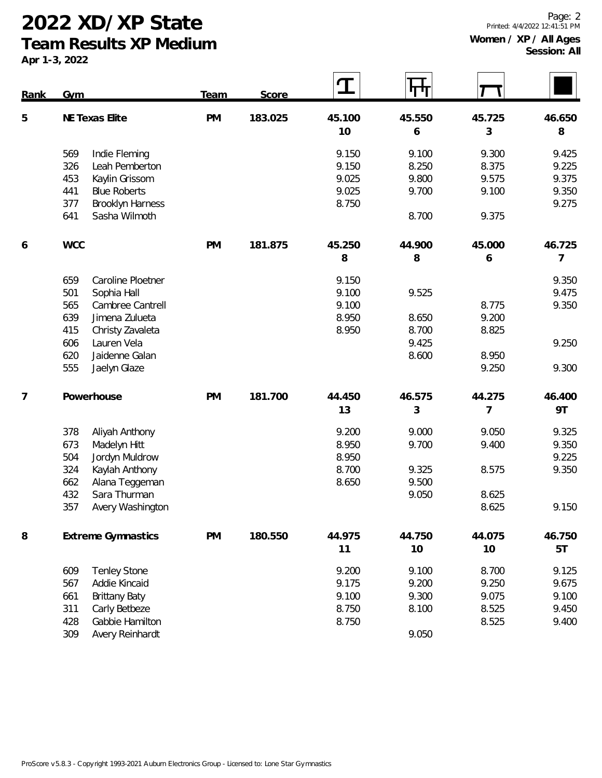**Team Results XP Medium**

| Rank | Gym                                              | Team      | Score   | $\bf{T}$ | पण             |                |        |
|------|--------------------------------------------------|-----------|---------|----------|----------------|----------------|--------|
| 5    | NE Texas Elite                                   | <b>PM</b> | 183.025 | 45.100   | 45.550         | 45.725         | 46.650 |
|      |                                                  |           |         | 10       | 6              | 3              | 8      |
|      | 569<br>Indie Fleming                             |           |         | 9.150    | 9.100          | 9.300          | 9.425  |
|      | 326<br>Leah Pemberton                            |           |         | 9.150    | 8.250          | 8.375          | 9.225  |
|      | 453<br>Kaylin Grissom                            |           |         | 9.025    | 9.800          | 9.575          | 9.375  |
|      | 441<br><b>Blue Roberts</b>                       |           |         | 9.025    | 9.700          | 9.100          | 9.350  |
|      | <b>Brooklyn Harness</b><br>377                   |           |         | 8.750    |                |                | 9.275  |
|      | Sasha Wilmoth<br>641                             |           |         |          | 8.700          | 9.375          |        |
| 6    | <b>WCC</b>                                       | <b>PM</b> | 181.875 | 45.250   | 44.900         | 45.000         | 46.725 |
|      |                                                  |           |         | 8        | 8              | 6              | 7      |
|      | 659<br>Caroline Ploetner                         |           |         | 9.150    |                |                | 9.350  |
|      | 501<br>Sophia Hall                               |           |         | 9.100    | 9.525          |                | 9.475  |
|      | 565<br>Cambree Cantrell                          |           |         | 9.100    |                | 8.775          | 9.350  |
|      | 639<br>Jimena Zulueta                            |           |         | 8.950    | 8.650          | 9.200          |        |
|      | 415<br>Christy Zavaleta                          |           |         | 8.950    | 8.700          | 8.825          |        |
|      | 606<br>Lauren Vela<br>Jaidenne Galan             |           |         |          | 9.425<br>8.600 |                | 9.250  |
|      | 620<br>555<br>Jaelyn Glaze                       |           |         |          |                | 8.950<br>9.250 | 9.300  |
|      |                                                  |           |         |          |                |                |        |
| 7    | Powerhouse                                       | <b>PM</b> | 181.700 | 44.450   | 46.575         | 44.275         | 46.400 |
|      |                                                  |           |         | 13       | 3              | 7              | 9T     |
|      | 378<br>Aliyah Anthony                            |           |         | 9.200    | 9.000          | 9.050          | 9.325  |
|      | 673<br>Madelyn Hitt                              |           |         | 8.950    | 9.700          | 9.400          | 9.350  |
|      | 504<br>Jordyn Muldrow                            |           |         | 8.950    |                |                | 9.225  |
|      | 324<br>Kaylah Anthony                            |           |         | 8.700    | 9.325          | 8.575          | 9.350  |
|      | 662<br>Alana Teggeman                            |           |         | 8.650    | 9.500          |                |        |
|      | 432<br>Sara Thurman<br>357<br>Avery Washington   |           |         |          | 9.050          | 8.625<br>8.625 | 9.150  |
|      |                                                  |           |         |          |                |                |        |
| 8    | <b>Extreme Gymnastics</b>                        | <b>PM</b> | 180.550 | 44.975   | 44.750         | 44.075         | 46.750 |
|      |                                                  |           |         | 11       | 10             | 10             | 5T     |
|      | 609<br><b>Tenley Stone</b>                       |           |         | 9.200    | 9.100          | 8.700          | 9.125  |
|      | Addie Kincaid<br>567                             |           |         | 9.175    | 9.200          | 9.250          | 9.675  |
|      | 661<br><b>Brittany Baty</b>                      |           |         | 9.100    | 9.300          | 9.075          | 9.100  |
|      | Carly Betbeze<br>311                             |           |         | 8.750    | 8.100          | 8.525          | 9.450  |
|      | Gabbie Hamilton<br>428<br>309<br>Avery Reinhardt |           |         | 8.750    | 9.050          | 8.525          | 9.400  |
|      |                                                  |           |         |          |                |                |        |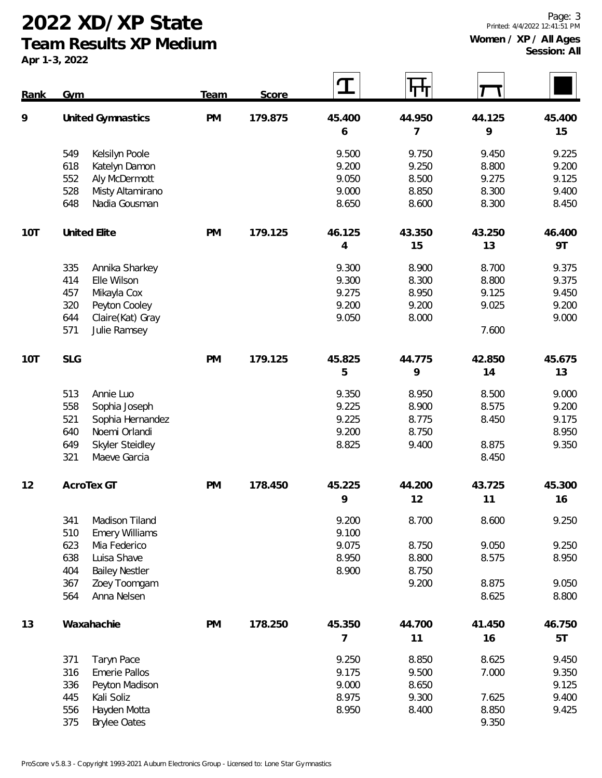**Team Results XP Medium**

| Rank | Gym               |                       | <b>Team</b> | Score   | $\bf{I}$ | पाण    |        |        |
|------|-------------------|-----------------------|-------------|---------|----------|--------|--------|--------|
| 9    | United Gymnastics |                       | <b>PM</b>   | 179.875 | 45.400   | 44.950 | 44.125 | 45.400 |
|      |                   |                       |             |         | 6        | 7      | 9      | 15     |
|      | 549               | Kelsilyn Poole        |             |         | 9.500    | 9.750  | 9.450  | 9.225  |
|      | 618               | Katelyn Damon         |             |         | 9.200    | 9.250  | 8.800  | 9.200  |
|      | 552               | Aly McDermott         |             |         | 9.050    | 8.500  | 9.275  | 9.125  |
|      | 528               | Misty Altamirano      |             |         | 9.000    | 8.850  | 8.300  | 9.400  |
|      | 648               | Nadia Gousman         |             |         | 8.650    | 8.600  | 8.300  | 8.450  |
| 10T  |                   | United Elite          | <b>PM</b>   | 179.125 | 46.125   | 43.350 | 43.250 | 46.400 |
|      |                   |                       |             |         | 4        | 15     | 13     | 9T     |
|      | 335               | Annika Sharkey        |             |         | 9.300    | 8.900  | 8.700  | 9.375  |
|      | 414               | Elle Wilson           |             |         | 9.300    | 8.300  | 8.800  | 9.375  |
|      | 457               | Mikayla Cox           |             |         | 9.275    | 8.950  | 9.125  | 9.450  |
|      | 320               | Peyton Cooley         |             |         | 9.200    | 9.200  | 9.025  | 9.200  |
|      | 644               | Claire(Kat) Gray      |             |         | 9.050    | 8.000  |        | 9.000  |
|      | 571               | Julie Ramsey          |             |         |          |        | 7.600  |        |
| 10T  | <b>SLG</b>        |                       | <b>PM</b>   | 179.125 | 45.825   | 44.775 | 42.850 | 45.675 |
|      |                   |                       |             |         | 5        | 9      | 14     | 13     |
|      | 513               | Annie Luo             |             |         | 9.350    | 8.950  | 8.500  | 9.000  |
|      | 558               | Sophia Joseph         |             |         | 9.225    | 8.900  | 8.575  | 9.200  |
|      | 521               | Sophia Hernandez      |             |         | 9.225    | 8.775  | 8.450  | 9.175  |
|      | 640               | Noemi Orlandi         |             |         | 9.200    | 8.750  |        | 8.950  |
|      | 649               | Skyler Steidley       |             |         | 8.825    | 9.400  | 8.875  | 9.350  |
|      | 321               | Maeve Garcia          |             |         |          |        | 8.450  |        |
| 12   |                   | AcroTex GT            | <b>PM</b>   | 178.450 | 45.225   | 44.200 | 43.725 | 45.300 |
|      |                   |                       |             |         | 9        | 12     | 11     | 16     |
|      | 341               | Madison Tiland        |             |         | 9.200    | 8.700  | 8.600  | 9.250  |
|      | 510               | <b>Emery Williams</b> |             |         | 9.100    |        |        |        |
|      | 623               | Mia Federico          |             |         | 9.075    | 8.750  | 9.050  | 9.250  |
|      | 638               | Luisa Shave           |             |         | 8.950    | 8.800  | 8.575  | 8.950  |
|      | 404               | <b>Bailey Nestler</b> |             |         | 8.900    | 8.750  |        |        |
|      | 367               | Zoey Toomgam          |             |         |          | 9.200  | 8.875  | 9.050  |
|      | 564               | Anna Nelsen           |             |         |          |        | 8.625  | 8.800  |
| 13   |                   | Waxahachie            | <b>PM</b>   | 178.250 | 45.350   | 44.700 | 41.450 | 46.750 |
|      |                   |                       |             |         | 7        | 11     | 16     | 5T     |
|      | 371               | Taryn Pace            |             |         | 9.250    | 8.850  | 8.625  | 9.450  |
|      | 316               | Emerie Pallos         |             |         | 9.175    | 9.500  | 7.000  | 9.350  |
|      | 336               | Peyton Madison        |             |         | 9.000    | 8.650  |        | 9.125  |
|      | 445               | Kali Soliz            |             |         | 8.975    | 9.300  | 7.625  | 9.400  |
|      | 556               | Hayden Motta          |             |         | 8.950    | 8.400  | 8.850  | 9.425  |
|      | 375               | <b>Brylee Oates</b>   |             |         |          |        | 9.350  |        |